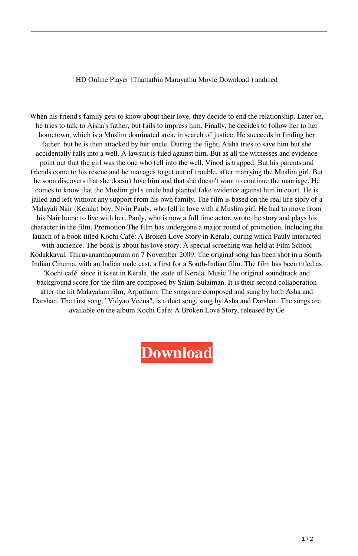## HD Online Player (Thattathin Marayathu Movie Download ) andrred

When his friend's family gets to know about their love, they decide to end the relationship. Later on, he tries to talk to Aisha's father, but fails to impress him. Finally, he decides to follow her to her hometown, which is a Muslim dominated area, in search of justice. He succeeds in finding her father, but he is then attacked by her uncle. During the fight, Aisha tries to save him but she accidentally falls into a well. A lawsuit is filed against him. But as all the witnesses and evidence point out that the girl was the one who fell into the well, Vinod is trapped. But his parents and friends come to his rescue and he manages to get out of trouble, after marrying the Muslim girl. But he soon discovers that she doesn't love him and that she doesn't want to continue the marriage. He comes to know that the Muslim girl's uncle had planted fake evidence against him in court. He is jailed and left without any support from his own family. The film is based on the real life story of a Malayali Nair (Kerala) boy, Nivin Pauly, who fell in love with a Muslim girl. He had to move from his Nair home to live with her. Pauly, who is now a full time actor, wrote the story and plays his character in the film. Promotion The film has undergone a major round of promotion, including the launch of a book titled Kochi Café: A Broken Love Story in Kerala, during which Pauly interacted with audience. The book is about his love story. A special screening was held at Film School Kodakkaval, Thiruvananthapuram on 7 November 2009. The original song has been shot in a South-Indian Cinema, with an Indian male cast, a first for a South-Indian film. The film has been titled as 'Kochi café' since it is set in Kerala, the state of Kerala. Music The original soundtrack and background score for the film are composed by Salim-Sulaiman. It is their second collaboration after the hit Malayalam film, Arputham. The songs are composed and sung by both Asha and Darshan. The first song, "Vidyao Veena", is a duet song, sung by Asha and Darshan. The songs are available on the album Kochi Café: A Broken Love Story, released by Ge